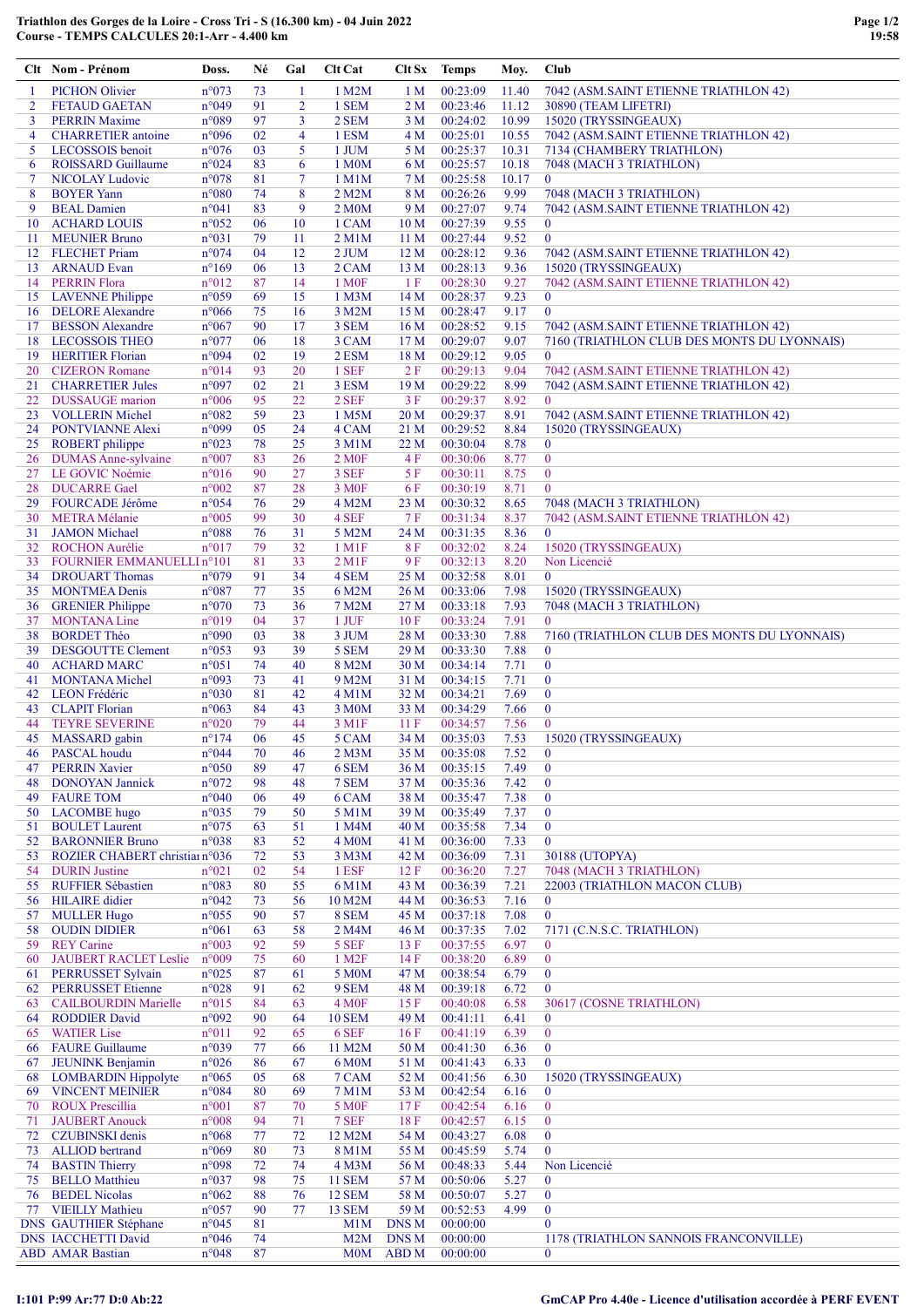|             | Clt Nom - Prénom                                        | Doss.                            | Né       | Gal            | Clt Cat                     | Clt Sx                  | <b>Temps</b>         | Moy.          | Club                                                        |
|-------------|---------------------------------------------------------|----------------------------------|----------|----------------|-----------------------------|-------------------------|----------------------|---------------|-------------------------------------------------------------|
| -1          | <b>PICHON Olivier</b>                                   | n°073                            | 73       | 1              | 1 M2M                       | 1 <sub>M</sub>          | 00:23:09             | 11.40         | 7042 (ASM.SAINT ETIENNE TRIATHLON 42)                       |
| 2           | <b>FETAUD GAETAN</b>                                    | n°049                            | 91       | $\overline{2}$ | 1 SEM                       | 2 M                     | 00:23:46             | 11.12         | 30890 (TEAM LIFETRI)                                        |
| 3           | <b>PERRIN Maxime</b>                                    | n°089                            | 97       | 3              | 2 SEM                       | 3 M                     | 00:24:02             | 10.99         | 15020 (TRYSSINGEAUX)                                        |
| 4           | <b>CHARRETIER</b> antoine                               | n°096                            | 02       | 4              | 1 ESM                       | 4 M                     | 00:25:01             | 10.55         | 7042 (ASM.SAINT ETIENNE TRIATHLON 42)                       |
| 5           | LECOSSOIS benoit                                        | n°076                            | 03       | 5              | 1 JUM                       | 5 M                     | 00:25:37             | 10.31         | 7134 (CHAMBERY TRIATHLON)                                   |
| 6           | <b>ROISSARD Guillaume</b>                               | n°024                            | 83       | 6              | 1 M <sub>0</sub> M          | 6 M                     | 00:25:57             | 10.18         | 7048 (MACH 3 TRIATHLON)<br>$\mathbf{0}$                     |
| $\tau$<br>8 | <b>NICOLAY Ludovic</b><br><b>BOYER</b> Yann             | n°078<br>$n^{\circ}080$          | 81<br>74 | 7<br>8         | 1 M1M<br>2 M2M              | 7 M<br>8 M              | 00:25:58<br>00:26:26 | 10.17<br>9.99 | 7048 (MACH 3 TRIATHLON)                                     |
| 9           | <b>BEAL Damien</b>                                      | n°041                            | 83       | 9              | 2 M <sub>0</sub> M          | 9 M                     | 00:27:07             | 9.74          | 7042 (ASM.SAINT ETIENNE TRIATHLON 42)                       |
| 10          | <b>ACHARD LOUIS</b>                                     | $n^{\circ}052$                   | 06       | 10             | 1 CAM                       | 10 <sub>M</sub>         | 00:27:39             | 9.55          | $\bf{0}$                                                    |
| 11          | <b>MEUNIER Bruno</b>                                    | n°031                            | 79       | 11             | 2 M1M                       | 11 <sub>M</sub>         | 00:27:44             | 9.52          | $\overline{0}$                                              |
|             | 12 FLECHET Priam                                        | $n^{\circ}074$                   | 04       | 12             | $2$ JUM                     | 12 <sub>M</sub>         | 00:28:12             | 9.36          | 7042 (ASM.SAINT ETIENNE TRIATHLON 42)                       |
| 13          | <b>ARNAUD Evan</b>                                      | $n^{\circ}169$                   | 06       | 13             | 2 CAM                       | 13 M                    | 00:28:13             | 9.36          | 15020 (TRYSSINGEAUX)                                        |
| 14          | <b>PERRIN Flora</b>                                     | n°012                            | 87       | 14             | 1 M <sub>OF</sub>           | 1F                      | 00:28:30             | 9.27          | 7042 (ASM.SAINT ETIENNE TRIATHLON 42)                       |
|             | 15 LAVENNE Philippe                                     | n°059                            | 69       | 15             | 1 M <sub>3</sub> M          | 14 M                    | 00:28:37             | 9.23          | $\bf{0}$                                                    |
| 16          | <b>DELORE</b> Alexandre                                 | $n^{\circ}066$                   | 75       | 16             | 3 M2M                       | 15 M                    | 00:28:47             | 9.17          | $\mathbf{0}$                                                |
| 17          | <b>BESSON</b> Alexandre                                 | $n^{\circ}067$                   | 90       | 17             | 3 SEM                       | 16 <sub>M</sub>         | 00:28:52             | 9.15          | 7042 (ASM.SAINT ETIENNE TRIATHLON 42)                       |
| 18<br>19    | <b>LECOSSOIS THEO</b><br><b>HERITIER Florian</b>        | $n^{\circ}077$<br>n°094          | 06<br>02 | 18<br>19       | 3 CAM<br>2 ESM              | 17 <sub>M</sub><br>18 M | 00:29:07<br>00:29:12 | 9.07<br>9.05  | 7160 (TRIATHLON CLUB DES MONTS DU LYONNAIS)<br>$\mathbf{0}$ |
| 20          | <b>CIZERON</b> Romane                                   | n°014                            | 93       | 20             | 1 SEF                       | 2F                      | 00:29:13             | 9.04          | 7042 (ASM.SAINT ETIENNE TRIATHLON 42)                       |
| 21          | <b>CHARRETIER Jules</b>                                 | n°097                            | 02       | 21             | 3 ESM                       | 19 <sub>M</sub>         | 00:29:22             | 8.99          | 7042 (ASM.SAINT ETIENNE TRIATHLON 42)                       |
|             | 22 DUSSAUGE marion                                      | $n^{\circ}006$                   | 95       | 22             | 2 SEF                       | 3F                      | 00:29:37             | 8.92          | $\theta$                                                    |
| 23          | <b>VOLLERIN Michel</b>                                  | n°082                            | 59       | 23             | 1 M5M                       | 20 <sub>M</sub>         | 00:29:37             | 8.91          | 7042 (ASM.SAINT ETIENNE TRIATHLON 42)                       |
| 24          | PONTVIANNE Alexi                                        | n°099                            | 05       | 24             | 4 CAM                       | 21 M                    | 00:29:52             | 8.84          | 15020 (TRYSSINGEAUX)                                        |
| 25          | <b>ROBERT</b> philippe                                  | $n^{\circ}023$                   | 78       | 25             | 3 M1M                       | 22 M                    | 00:30:04             | 8.78          | $\bf{0}$                                                    |
| 26          | <b>DUMAS</b> Anne-sylvaine                              | $n^{\circ}007$                   | 83       | 26             | 2 M <sub>OF</sub>           | 4 F                     | 00:30:06             | 8.77          | $\boldsymbol{0}$                                            |
|             | 27 LE GOVIC Noémie                                      | $n^{\circ}016$                   | 90       | 27             | 3 SEF                       | 5 F                     | 00:30:11             | 8.75          | $\mathbf{0}$                                                |
| 28          | <b>DUCARRE</b> Gael                                     | $n^{\circ}002$                   | 87       | 28             | 3 M <sub>OF</sub>           | 6 F                     | 00:30:19             | 8.71          | $\mathbf{0}$                                                |
| 29          | FOURCADE Jérôme                                         | $n^{\circ}054$                   | 76       | 29             | 4 M2M                       | 23 M                    | 00:30:32             | 8.65          | 7048 (MACH 3 TRIATHLON)                                     |
| 30          | <b>METRA Mélanie</b>                                    | $n^{\circ}005$                   | 99       | 30             | 4 SEF                       | 7 F                     | 00:31:34             | 8.37          | 7042 (ASM.SAINT ETIENNE TRIATHLON 42)                       |
| 31<br>32    | <b>JAMON</b> Michael<br><b>ROCHON Aurélie</b>           | $n^{\circ}088$<br>$n^{\circ}017$ | 76<br>79 | 31<br>32       | 5 M2M<br>1 M1F              | 24 M<br>8 F             | 00:31:35<br>00:32:02 | 8.36<br>8.24  | $\mathbf{0}$<br>15020 (TRYSSINGEAUX)                        |
| 33          | FOURNIER EMMANUELLIn°101                                |                                  | 81       | 33             | 2 M1F                       | 9 F                     | 00:32:13             | 8.20          | Non Licencié                                                |
| 34          | <b>DROUART Thomas</b>                                   | $n^{\circ}079$                   | 91       | 34             | 4 SEM                       | 25 M                    | 00:32:58             | 8.01          | $\mathbf{0}$                                                |
| 35          | <b>MONTMEA Denis</b>                                    | n°087                            | 77       | 35             | 6 M2M                       | 26 M                    | 00:33:06             | 7.98          | 15020 (TRYSSINGEAUX)                                        |
| 36          | <b>GRENIER Philippe</b>                                 | $n^{\circ}070$                   | 73       | 36             | 7 M2M                       | 27 M                    | 00:33:18             | 7.93          | 7048 (MACH 3 TRIATHLON)                                     |
| 37          | <b>MONTANA Line</b>                                     | n°019                            | 04       | 37             | $1$ JUF                     | 10 F                    | 00:33:24             | 7.91          | $\overline{0}$                                              |
| 38          | <b>BORDET Théo</b>                                      | n°090                            | 03       | 38             | 3 JUM                       | 28 M                    | 00:33:30             | 7.88          | 7160 (TRIATHLON CLUB DES MONTS DU LYONNAIS)                 |
| 39          | <b>DESGOUTTE Clement</b>                                | n°053                            | 93       | 39             | 5 SEM                       | 29 M                    | 00:33:30             | 7.88          | $\bf{0}$                                                    |
| 40          | <b>ACHARD MARC</b>                                      | n°051                            | 74       | 40             | 8 M2M                       | 30 M                    | 00:34:14             | 7.71          | $\boldsymbol{0}$                                            |
| 41          | <b>MONTANA</b> Michel                                   | n°093                            | 73       | 41             | 9 M2M                       | 31 M                    | 00:34:15             | 7.71          | $\mathbf{0}$                                                |
| 42<br>43    | <b>LEON</b> Frédéric<br><b>CLAPIT Florian</b>           | n°030<br>n°063                   | 81<br>84 | 42<br>43       | $4$ M $1$ M                 | 32 M                    | 00:34:21<br>00:34:29 | 7.69          | $\bf{0}$<br>$\bf{0}$                                        |
| 44          | <b>TEYRE SEVERINE</b>                                   | $n^{\circ}020$                   | 79       | 44             | 3 M <sub>0</sub> M<br>3 M1F | 33 M<br>11F             | 00:34:57             | 7.66<br>7.56  | $\mathbf{0}$                                                |
|             | 45 MASSARD gabin                                        | $n^{\circ}174$                   | 06       | 45             | 5 CAM                       | 34 M                    | 00:35:03             | 7.53          | 15020 (TRYSSINGEAUX)                                        |
| 46          | PASCAL houdu                                            | $n^{\circ}044$                   | 70       | 46             | 2 M3M                       | 35 M                    | 00:35:08             | 7.52          | $\bf{0}$                                                    |
| 47          | <b>PERRIN Xavier</b>                                    | $n^{\circ}050$                   | 89       | 47             | 6 SEM                       | 36 M                    | 00:35:15             | 7.49          | $\bf{0}$                                                    |
| 48          | <b>DONOYAN Jannick</b>                                  | $n^{\circ}072$                   | 98       | 48             | 7 SEM                       | 37 M                    | 00:35:36             | 7.42          | $\mathbf{0}$                                                |
| 49          | <b>FAURE TOM</b>                                        | $n^{\circ}040$                   | 06       | 49             | 6 CAM                       | 38 M                    | 00:35:47             | 7.38          | $\bf{0}$                                                    |
| 50          | <b>LACOMBE</b> hugo                                     | n°035                            | 79       | 50             | 5 M1M                       | 39 M                    | 00:35:49             | 7.37          | $\bf{0}$                                                    |
| 51          | <b>BOULET</b> Laurent                                   | $n^{\circ}075$                   | 63       | 51             | 1 M4M                       | 40 M                    | 00:35:58             | 7.34          | $\bf{0}$                                                    |
| 52<br>53    | <b>BARONNIER Bruno</b><br>ROZIER CHABERT christiann°036 | n°038                            | 83<br>72 | 52<br>53       | 4 M <sub>0</sub> M<br>3 M3M | 41 M<br>42 M            | 00:36:00<br>00:36:09 | 7.33<br>7.31  | $\bf{0}$<br>30188 (UTOPYA)                                  |
| 54          | <b>DURIN</b> Justine                                    | $n^{\circ}021$                   | 02       | 54             | 1 ESF                       | 12F                     | 00:36:20             | 7.27          | 7048 (MACH 3 TRIATHLON)                                     |
| 55          | <b>RUFFIER Sébastien</b>                                | n°083                            | 80       | 55             | 6 M1M                       | 43 M                    | 00:36:39             | 7.21          | 22003 (TRIATHLON MACON CLUB)                                |
| 56          | <b>HILAIRE</b> didier                                   | $n^{\circ}042$                   | 73       | 56             | 10 M2M                      | 44 M                    | 00:36:53             | 7.16          | $\bf{0}$                                                    |
| 57          | <b>MULLER Hugo</b>                                      | $n^{\circ}055$                   | 90       | 57             | 8 SEM                       | 45 M                    | 00:37:18             | 7.08          | $\overline{0}$                                              |
| 58          | <b>OUDIN DIDIER</b>                                     | $n^{\circ}061$                   | 63       | 58             | 2 M4M                       | 46 M                    | 00:37:35             | 7.02          | 7171 (C.N.S.C. TRIATHLON)                                   |
| 59          | <b>REY</b> Carine                                       | n°003                            | 92       | 59             | 5 SEF                       | 13F                     | 00:37:55             | 6.97          | $\mathbf{0}$                                                |
| 60          | <b>JAUBERT RACLET Leslie</b>                            | $n^{\circ}009$                   | 75       | 60             | 1 M <sub>2</sub> F          | 14F                     | 00:38:20             | 6.89          | $\mathbf{0}$                                                |
| 61          | PERRUSSET Sylvain                                       | $n^{\circ}025$                   | 87       | 61             | 5 M0M                       | 47 M                    | 00:38:54             | 6.79          | $\bf{0}$                                                    |
| 62<br>63    | <b>PERRUSSET Etienne</b><br><b>CAILBOURDIN Marielle</b> | $n^{\circ}028$<br>$n^{\circ}015$ | 91<br>84 | 62<br>63       | 9 SEM<br>4 M <sub>OF</sub>  | 48 M<br>15F             | 00:39:18<br>00:40:08 | 6.72<br>6.58  | $\bf{0}$<br>30617 (COSNE TRIATHLON)                         |
| 64          | <b>RODDIER David</b>                                    | n°092                            | 90       | 64             | <b>10 SEM</b>               | 49 M                    | 00:41:11             | 6.41          | $\mathbf{0}$                                                |
| 65          | <b>WATIER Lise</b>                                      | $n^{\circ}011$                   | 92       | 65             | 6 SEF                       | 16F                     | 00:41:19             | 6.39          | $\boldsymbol{0}$                                            |
| 66          | <b>FAURE</b> Guillaume                                  | n°039                            | 77       | 66             | 11 M2M                      | 50 M                    | 00:41:30             | 6.36          | $\mathbf{0}$                                                |
| 67          | <b>JEUNINK Benjamin</b>                                 | $n^{\circ}026$                   | 86       | 67             | 6 M0M                       | 51 M                    | 00:41:43             | 6.33          | $\bf{0}$                                                    |
| 68          | <b>LOMBARDIN Hippolyte</b>                              | $n^{\circ}065$                   | 05       | 68             | 7 CAM                       | 52 M                    | 00:41:56             | 6.30          | 15020 (TRYSSINGEAUX)                                        |
| 69          | <b>VINCENT MEINIER</b>                                  | n°084                            | 80       | 69             | 7 M1M                       | 53 M                    | 00:42:54             | 6.16          | $\mathbf{0}$                                                |
| 70          | <b>ROUX Prescillia</b>                                  | $n^{\circ}001$                   | 87       | 70             | 5 M <sub>OF</sub>           | 17F                     | 00:42:54             | 6.16          | $\boldsymbol{0}$                                            |
| 71          | <b>JAUBERT</b> Anouck                                   | $n^{\circ}008$                   | 94       | 71             | 7 SEF                       | 18F                     | 00:42:57             | 6.15          | $\overline{0}$                                              |
| 72          | <b>CZUBINSKI</b> denis                                  | $n^{\circ}068$                   | 77<br>80 | 72             | 12 M2M                      | 54 M                    | 00:43:27             | 6.08          | $\bf{0}$<br>$\overline{0}$                                  |
| 73<br>74    | <b>ALLIOD</b> bertrand<br><b>BASTIN Thierry</b>         | n°069<br>n°098                   | 72       | 73<br>74       | 8 M1M<br>4 M3M              | 55 M<br>56 M            | 00:45:59<br>00:48:33 | 5.74<br>5.44  | Non Licencié                                                |
| 75          | <b>BELLO</b> Matthieu                                   | n°037                            | 98       | 75             | <b>11 SEM</b>               | 57 M                    | 00:50:06             | 5.27          | $\bf{0}$                                                    |
| 76          | <b>BEDEL Nicolas</b>                                    | $n^{\circ}062$                   | 88       | 76             | <b>12 SEM</b>               | 58 M                    | 00:50:07             | 5.27          | $\boldsymbol{0}$                                            |
| 77          | <b>VIEILLY Mathieu</b>                                  | n°057                            | 90       | 77             | 13 SEM                      | 59 M                    | 00:52:53             | 4.99          | $\mathbf{0}$                                                |
|             | DNS GAUTHIER Stéphane                                   | $n^{\circ}045$                   | 81       |                | M1M                         | <b>DNSM</b>             | 00:00:00             |               | $\overline{0}$                                              |
|             | DNS IACCHETTI David                                     | $n^{\circ}046$                   | 74       |                | M2M                         | <b>DNSM</b>             | 00:00:00             |               | 1178 (TRIATHLON SANNOIS FRANCONVILLE)                       |
|             | <b>ABD AMAR Bastian</b>                                 | n°048                            | 87       |                | M <sub>0</sub> M            | <b>ABDM</b>             | 00:00:00             |               | $\bf{0}$                                                    |